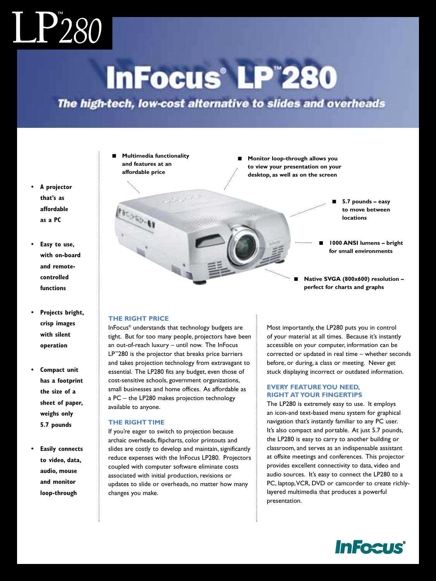# $\mathrm{LP}^\circ_{280}$

### **InFocus® LP™280**

### The high-tech, low-cost alternative to slides and overheads

■ **Multimedia functionality and features at an affordable price**

 $19 - 62$ 

- **Monitor loop-through allows you to view your presentation on your desktop, as well as on the screen**
	- **5.7 pounds easy to move between locations**
	- **1000 ANSI lumens bright for small environments**
	- **Native SVGA (800x600) resolution – perfect for charts and graphs**

### **THE RIGHT PRICE**

InFocus® understands that technology budgets are tight. But for too many people, projectors have been an out-of-reach luxury – until now. The InFocus LP™280 is the projector that breaks price barriers and takes projection technology from extravagant to essential. The LP280 fits any budget, even those of cost-sensitive schools, government organizations, small businesses and home offices. As affordable as a PC – the LP280 makes projection technology available to anyone.

### **THE RIGHT TIME**

If you're eager to switch to projection because archaic overheads, flipcharts, color printouts and slides are costly to develop and maintain, significantly reduce expenses with the InFocus LP280. Projectors coupled with computer software eliminate costs associated with initial production, revisions or updates to slide or overheads, no matter how many changes you make.

Most importantly, the LP280 puts you in control of your material at all times. Because it's instantly accessible on your computer, information can be corrected or updated in real time – whether seconds before, or during, a class or meeting. Never get stuck displaying incorrect or outdated information.

### **EVERY FEATURE YOU NEED, RIGHT AT YOUR FINGERTIPS**

The LP280 is extremely easy to use. It employs an icon-and text-based menu system for graphical navigation that's instantly familiar to any PC user. It's also compact and portable. At just 5.7 pounds, the LP280 is easy to carry to another building or classroom, and serves as an indispensable assistant at offsite meetings and conferences. This projector provides excellent connectivity to data, video and audio sources. It's easy to connect the LP280 to a PC, laptop,VCR, DVD or camcorder to create richlylayered multimedia that produces a powerful presentation.

**InFocus** 

- **A projector that's as affordable as a PC**
- **Easy to use, with on-board and remotecontrolled functions**
- **Projects bright, crisp images with silent operation**
- **Compact unit has a footprint the size of a sheet of paper, weighs only 5.7 pounds**
- **Easily connects to video, data, audio, mouse and monitor loop-through**